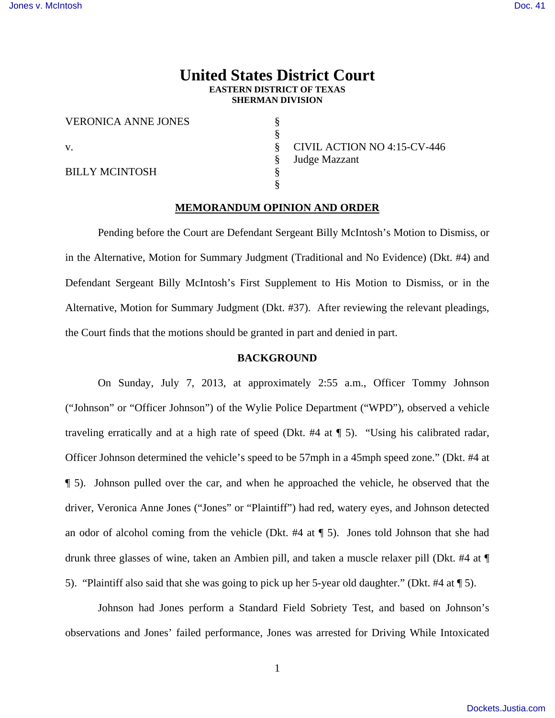# **United States District Court EASTERN DISTRICT OF TEXAS SHERMAN DIVISION**

VERONICA ANNE JONES §

§

§

BILLY MCINTOSH §

v.  $\frac{\$}{\$}$  CIVIL ACTION NO 4:15-CV-446 § Judge Mazzant

### **MEMORANDUM OPINION AND ORDER**

 Pending before the Court are Defendant Sergeant Billy McIntosh's Motion to Dismiss, or in the Alternative, Motion for Summary Judgment (Traditional and No Evidence) (Dkt. #4) and Defendant Sergeant Billy McIntosh's First Supplement to His Motion to Dismiss, or in the Alternative, Motion for Summary Judgment (Dkt. #37). After reviewing the relevant pleadings, the Court finds that the motions should be granted in part and denied in part.

### **BACKGROUND**

 On Sunday, July 7, 2013, at approximately 2:55 a.m., Officer Tommy Johnson ("Johnson" or "Officer Johnson") of the Wylie Police Department ("WPD"), observed a vehicle traveling erratically and at a high rate of speed (Dkt. #4 at ¶ 5). "Using his calibrated radar, Officer Johnson determined the vehicle's speed to be 57mph in a 45mph speed zone." (Dkt. #4 at ¶ 5). Johnson pulled over the car, and when he approached the vehicle, he observed that the driver, Veronica Anne Jones ("Jones" or "Plaintiff") had red, watery eyes, and Johnson detected an odor of alcohol coming from the vehicle (Dkt. #4 at ¶ 5). Jones told Johnson that she had drunk three glasses of wine, taken an Ambien pill, and taken a muscle relaxer pill (Dkt. #4 at ¶ 5). "Plaintiff also said that she was going to pick up her 5-year old daughter." (Dkt. #4 at ¶ 5).

 Johnson had Jones perform a Standard Field Sobriety Test, and based on Johnson's observations and Jones' failed performance, Jones was arrested for Driving While Intoxicated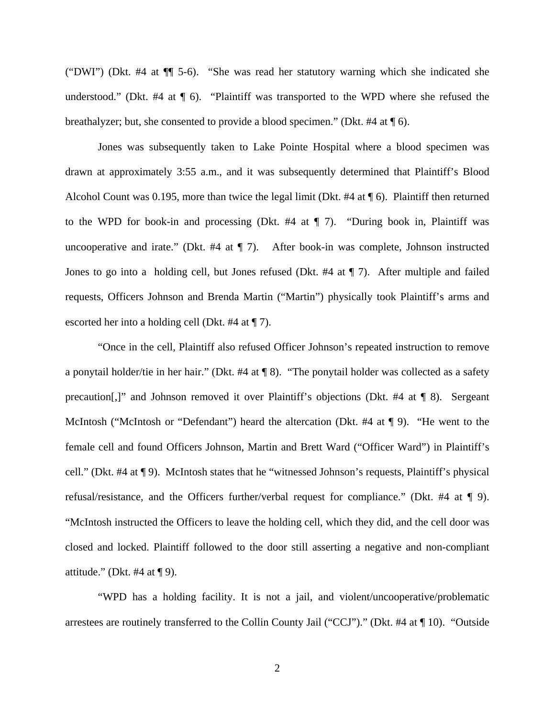("DWI") (Dkt. #4 at ¶¶ 5-6). "She was read her statutory warning which she indicated she understood." (Dkt. #4 at ¶ 6). "Plaintiff was transported to the WPD where she refused the breathalyzer; but, she consented to provide a blood specimen." (Dkt. #4 at ¶ 6).

Jones was subsequently taken to Lake Pointe Hospital where a blood specimen was drawn at approximately 3:55 a.m., and it was subsequently determined that Plaintiff's Blood Alcohol Count was 0.195, more than twice the legal limit (Dkt. #4 at  $\P$  6). Plaintiff then returned to the WPD for book-in and processing (Dkt. #4 at ¶ 7). "During book in, Plaintiff was uncooperative and irate." (Dkt. #4 at ¶ 7). After book-in was complete, Johnson instructed Jones to go into a holding cell, but Jones refused (Dkt. #4 at ¶ 7). After multiple and failed requests, Officers Johnson and Brenda Martin ("Martin") physically took Plaintiff's arms and escorted her into a holding cell (Dkt. #4 at ¶ 7).

 "Once in the cell, Plaintiff also refused Officer Johnson's repeated instruction to remove a ponytail holder/tie in her hair." (Dkt. #4 at ¶ 8). "The ponytail holder was collected as a safety precaution[,]" and Johnson removed it over Plaintiff's objections (Dkt. #4 at ¶ 8). Sergeant McIntosh ("McIntosh or "Defendant") heard the altercation (Dkt. #4 at ¶ 9). "He went to the female cell and found Officers Johnson, Martin and Brett Ward ("Officer Ward") in Plaintiff's cell." (Dkt. #4 at ¶ 9). McIntosh states that he "witnessed Johnson's requests, Plaintiff's physical refusal/resistance, and the Officers further/verbal request for compliance." (Dkt. #4 at ¶ 9). "McIntosh instructed the Officers to leave the holding cell, which they did, and the cell door was closed and locked. Plaintiff followed to the door still asserting a negative and non-compliant attitude." (Dkt. #4 at  $\P$  9).

 "WPD has a holding facility. It is not a jail, and violent/uncooperative/problematic arrestees are routinely transferred to the Collin County Jail ("CCJ")." (Dkt. #4 at ¶ 10). "Outside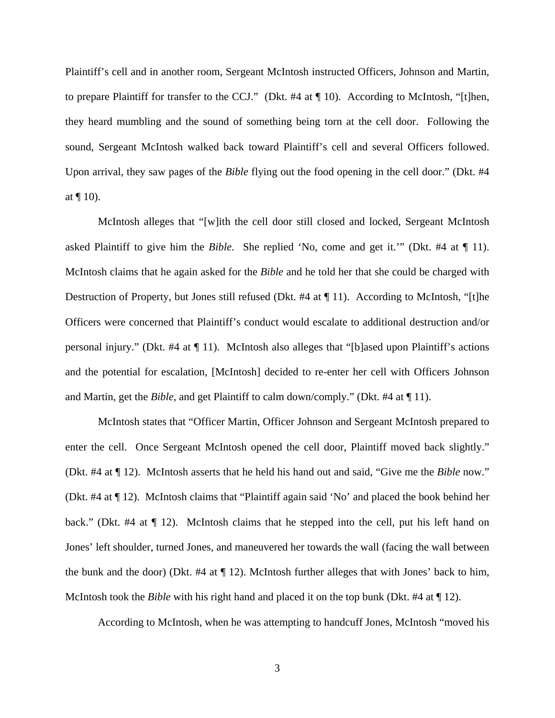Plaintiff's cell and in another room, Sergeant McIntosh instructed Officers, Johnson and Martin, to prepare Plaintiff for transfer to the CCJ." (Dkt. #4 at ¶ 10). According to McIntosh, "[t]hen, they heard mumbling and the sound of something being torn at the cell door. Following the sound, Sergeant McIntosh walked back toward Plaintiff's cell and several Officers followed. Upon arrival, they saw pages of the *Bible* flying out the food opening in the cell door." (Dkt. #4 at  $\P$  10).

 McIntosh alleges that "[w]ith the cell door still closed and locked, Sergeant McIntosh asked Plaintiff to give him the *Bible*. She replied 'No, come and get it.'" (Dkt. #4 at ¶ 11). McIntosh claims that he again asked for the *Bible* and he told her that she could be charged with Destruction of Property, but Jones still refused (Dkt. #4 at ¶ 11). According to McIntosh, "[t]he Officers were concerned that Plaintiff's conduct would escalate to additional destruction and/or personal injury." (Dkt. #4 at ¶ 11). McIntosh also alleges that "[b]ased upon Plaintiff's actions and the potential for escalation, [McIntosh] decided to re-enter her cell with Officers Johnson and Martin, get the *Bible*, and get Plaintiff to calm down/comply." (Dkt. #4 at ¶ 11).

 McIntosh states that "Officer Martin, Officer Johnson and Sergeant McIntosh prepared to enter the cell. Once Sergeant McIntosh opened the cell door, Plaintiff moved back slightly." (Dkt. #4 at ¶ 12). McIntosh asserts that he held his hand out and said, "Give me the *Bible* now." (Dkt. #4 at ¶ 12). McIntosh claims that "Plaintiff again said 'No' and placed the book behind her back." (Dkt. #4 at  $\P$  12). McIntosh claims that he stepped into the cell, put his left hand on Jones' left shoulder, turned Jones, and maneuvered her towards the wall (facing the wall between the bunk and the door) (Dkt.  $#4$  at  $\P$  12). McIntosh further alleges that with Jones' back to him, McIntosh took the *Bible* with his right hand and placed it on the top bunk (Dkt. #4 at ¶ 12).

According to McIntosh, when he was attempting to handcuff Jones, McIntosh "moved his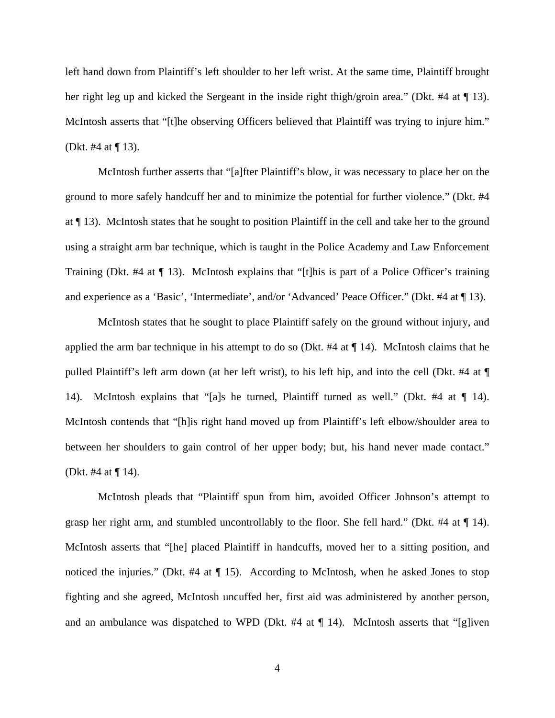left hand down from Plaintiff's left shoulder to her left wrist. At the same time, Plaintiff brought her right leg up and kicked the Sergeant in the inside right thigh/groin area." (Dkt. #4 at  $\P$  13). McIntosh asserts that "[t]he observing Officers believed that Plaintiff was trying to injure him." (Dkt. #4 at ¶ 13).

 McIntosh further asserts that "[a]fter Plaintiff's blow, it was necessary to place her on the ground to more safely handcuff her and to minimize the potential for further violence." (Dkt. #4 at ¶ 13). McIntosh states that he sought to position Plaintiff in the cell and take her to the ground using a straight arm bar technique, which is taught in the Police Academy and Law Enforcement Training (Dkt. #4 at ¶ 13). McIntosh explains that "[t]his is part of a Police Officer's training and experience as a 'Basic', 'Intermediate', and/or 'Advanced' Peace Officer." (Dkt. #4 at ¶ 13).

McIntosh states that he sought to place Plaintiff safely on the ground without injury, and applied the arm bar technique in his attempt to do so (Dkt.  $#4$  at  $\P$  14). McIntosh claims that he pulled Plaintiff's left arm down (at her left wrist), to his left hip, and into the cell (Dkt. #4 at ¶ 14). McIntosh explains that "[a]s he turned, Plaintiff turned as well." (Dkt. #4 at ¶ 14). McIntosh contends that "[h]is right hand moved up from Plaintiff's left elbow/shoulder area to between her shoulders to gain control of her upper body; but, his hand never made contact." (Dkt. #4 at ¶ 14).

McIntosh pleads that "Plaintiff spun from him, avoided Officer Johnson's attempt to grasp her right arm, and stumbled uncontrollably to the floor. She fell hard." (Dkt. #4 at ¶ 14). McIntosh asserts that "[he] placed Plaintiff in handcuffs, moved her to a sitting position, and noticed the injuries." (Dkt. #4 at  $\P$  15). According to McIntosh, when he asked Jones to stop fighting and she agreed, McIntosh uncuffed her, first aid was administered by another person, and an ambulance was dispatched to WPD (Dkt. #4 at  $\P$  14). McIntosh asserts that "[g]iven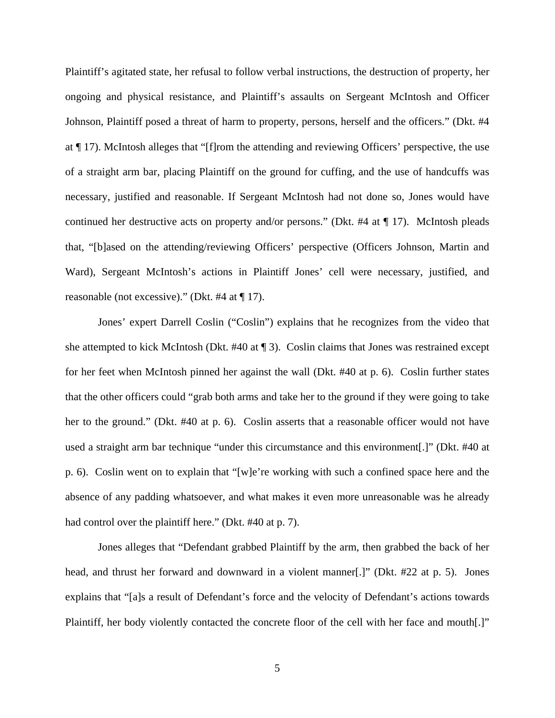Plaintiff's agitated state, her refusal to follow verbal instructions, the destruction of property, her ongoing and physical resistance, and Plaintiff's assaults on Sergeant McIntosh and Officer Johnson, Plaintiff posed a threat of harm to property, persons, herself and the officers." (Dkt. #4 at ¶ 17). McIntosh alleges that "[f]rom the attending and reviewing Officers' perspective, the use of a straight arm bar, placing Plaintiff on the ground for cuffing, and the use of handcuffs was necessary, justified and reasonable. If Sergeant McIntosh had not done so, Jones would have continued her destructive acts on property and/or persons." (Dkt. #4 at ¶ 17). McIntosh pleads that, "[b]ased on the attending/reviewing Officers' perspective (Officers Johnson, Martin and Ward), Sergeant McIntosh's actions in Plaintiff Jones' cell were necessary, justified, and reasonable (not excessive)." (Dkt. #4 at ¶ 17).

Jones' expert Darrell Coslin ("Coslin") explains that he recognizes from the video that she attempted to kick McIntosh (Dkt.  $\#40$  at  $\P$ 3). Coslin claims that Jones was restrained except for her feet when McIntosh pinned her against the wall (Dkt. #40 at p. 6). Coslin further states that the other officers could "grab both arms and take her to the ground if they were going to take her to the ground." (Dkt. #40 at p. 6). Coslin asserts that a reasonable officer would not have used a straight arm bar technique "under this circumstance and this environment[.]" (Dkt. #40 at p. 6). Coslin went on to explain that "[w]e're working with such a confined space here and the absence of any padding whatsoever, and what makes it even more unreasonable was he already had control over the plaintiff here." (Dkt. #40 at p. 7).

Jones alleges that "Defendant grabbed Plaintiff by the arm, then grabbed the back of her head, and thrust her forward and downward in a violent manner[.]" (Dkt. #22 at p. 5). Jones explains that "[a]s a result of Defendant's force and the velocity of Defendant's actions towards Plaintiff, her body violently contacted the concrete floor of the cell with her face and mouth[.]"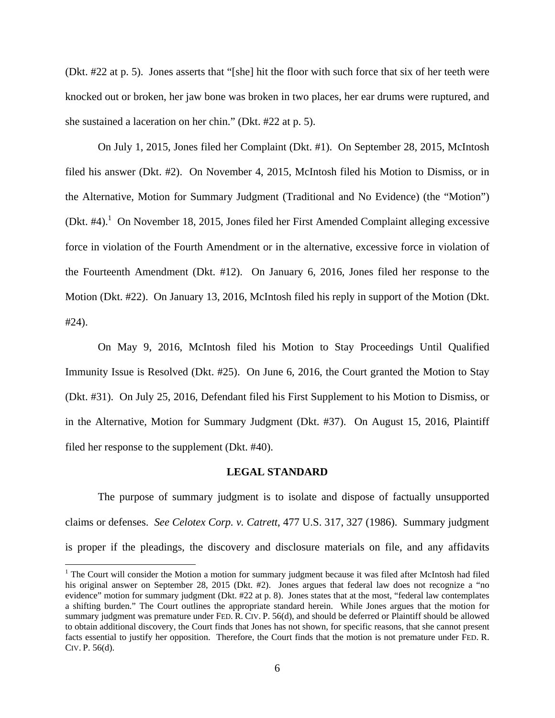(Dkt. #22 at p. 5). Jones asserts that "[she] hit the floor with such force that six of her teeth were knocked out or broken, her jaw bone was broken in two places, her ear drums were ruptured, and she sustained a laceration on her chin." (Dkt. #22 at p. 5).

On July 1, 2015, Jones filed her Complaint (Dkt. #1). On September 28, 2015, McIntosh filed his answer (Dkt. #2). On November 4, 2015, McIntosh filed his Motion to Dismiss, or in the Alternative, Motion for Summary Judgment (Traditional and No Evidence) (the "Motion") (Dkt.  $\#4$ ).<sup>1</sup> On November 18, 2015, Jones filed her First Amended Complaint alleging excessive force in violation of the Fourth Amendment or in the alternative, excessive force in violation of the Fourteenth Amendment (Dkt. #12). On January 6, 2016, Jones filed her response to the Motion (Dkt. #22). On January 13, 2016, McIntosh filed his reply in support of the Motion (Dkt. #24).

On May 9, 2016, McIntosh filed his Motion to Stay Proceedings Until Qualified Immunity Issue is Resolved (Dkt. #25). On June 6, 2016, the Court granted the Motion to Stay (Dkt. #31). On July 25, 2016, Defendant filed his First Supplement to his Motion to Dismiss, or in the Alternative, Motion for Summary Judgment (Dkt. #37). On August 15, 2016, Plaintiff filed her response to the supplement (Dkt. #40).

### **LEGAL STANDARD**

The purpose of summary judgment is to isolate and dispose of factually unsupported claims or defenses. *See Celotex Corp. v. Catrett*, 477 U.S. 317, 327 (1986). Summary judgment is proper if the pleadings, the discovery and disclosure materials on file, and any affidavits

 $\overline{\phantom{0}}$ 

<sup>&</sup>lt;sup>1</sup> The Court will consider the Motion a motion for summary judgment because it was filed after McIntosh had filed his original answer on September 28, 2015 (Dkt. #2). Jones argues that federal law does not recognize a "no evidence" motion for summary judgment (Dkt. #22 at p. 8). Jones states that at the most, "federal law contemplates a shifting burden." The Court outlines the appropriate standard herein. While Jones argues that the motion for summary judgment was premature under FED. R. CIV. P. 56(d), and should be deferred or Plaintiff should be allowed to obtain additional discovery, the Court finds that Jones has not shown, for specific reasons, that she cannot present facts essential to justify her opposition. Therefore, the Court finds that the motion is not premature under FED. R. CIV. P. 56(d).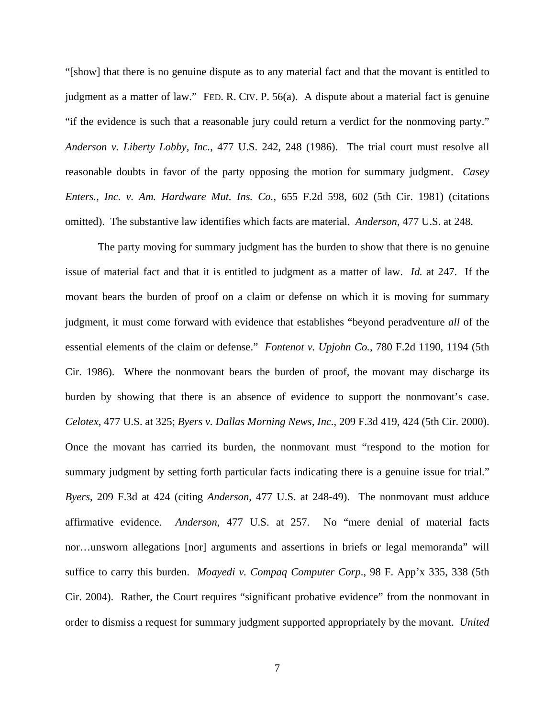"[show] that there is no genuine dispute as to any material fact and that the movant is entitled to judgment as a matter of law." FED. R. CIV. P. 56(a). A dispute about a material fact is genuine "if the evidence is such that a reasonable jury could return a verdict for the nonmoving party." *Anderson v. Liberty Lobby, Inc.*, 477 U.S. 242, 248 (1986). The trial court must resolve all reasonable doubts in favor of the party opposing the motion for summary judgment. *Casey Enters., Inc. v. Am. Hardware Mut. Ins. Co.*, 655 F.2d 598, 602 (5th Cir. 1981) (citations omitted). The substantive law identifies which facts are material. *Anderson*, 477 U.S. at 248.

 The party moving for summary judgment has the burden to show that there is no genuine issue of material fact and that it is entitled to judgment as a matter of law. *Id.* at 247. If the movant bears the burden of proof on a claim or defense on which it is moving for summary judgment, it must come forward with evidence that establishes "beyond peradventure *all* of the essential elements of the claim or defense." *Fontenot v. Upjohn Co.*, 780 F.2d 1190, 1194 (5th Cir. 1986). Where the nonmovant bears the burden of proof, the movant may discharge its burden by showing that there is an absence of evidence to support the nonmovant's case. *Celotex*, 477 U.S. at 325; *Byers v. Dallas Morning News, Inc.*, 209 F.3d 419, 424 (5th Cir. 2000). Once the movant has carried its burden, the nonmovant must "respond to the motion for summary judgment by setting forth particular facts indicating there is a genuine issue for trial." *Byers*, 209 F.3d at 424 (citing *Anderson*, 477 U.S. at 248-49). The nonmovant must adduce affirmative evidence. *Anderson*, 477 U.S. at 257. No "mere denial of material facts nor…unsworn allegations [nor] arguments and assertions in briefs or legal memoranda" will suffice to carry this burden. *Moayedi v. Compaq Computer Corp*., 98 F. App'x 335, 338 (5th Cir. 2004). Rather, the Court requires "significant probative evidence" from the nonmovant in order to dismiss a request for summary judgment supported appropriately by the movant. *United*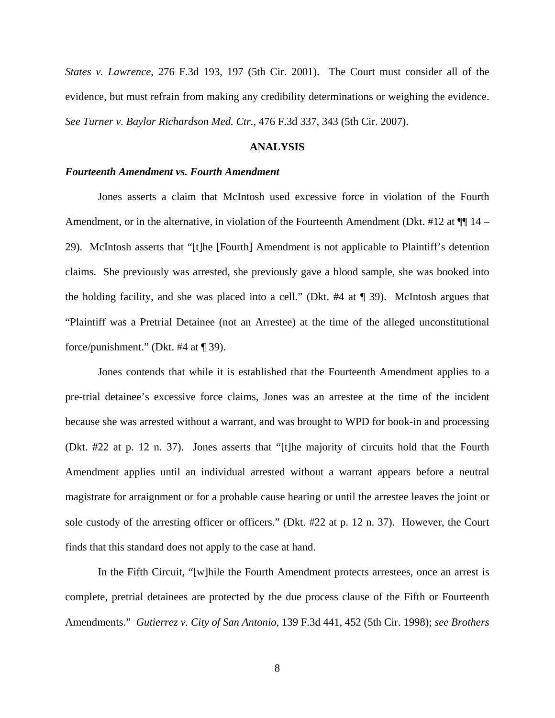*States v. Lawrence*, 276 F.3d 193, 197 (5th Cir. 2001). The Court must consider all of the evidence, but must refrain from making any credibility determinations or weighing the evidence. *See Turner v. Baylor Richardson Med. Ctr.*, 476 F.3d 337, 343 (5th Cir. 2007).

### **ANALYSIS**

### *Fourteenth Amendment vs. Fourth Amendment*

 Jones asserts a claim that McIntosh used excessive force in violation of the Fourth Amendment, or in the alternative, in violation of the Fourteenth Amendment (Dkt. #12 at  $\P$  14 – 29). McIntosh asserts that "[t]he [Fourth] Amendment is not applicable to Plaintiff's detention claims. She previously was arrested, she previously gave a blood sample, she was booked into the holding facility, and she was placed into a cell." (Dkt. #4 at ¶ 39). McIntosh argues that "Plaintiff was a Pretrial Detainee (not an Arrestee) at the time of the alleged unconstitutional force/punishment." (Dkt. #4 at ¶ 39).

 Jones contends that while it is established that the Fourteenth Amendment applies to a pre-trial detainee's excessive force claims, Jones was an arrestee at the time of the incident because she was arrested without a warrant, and was brought to WPD for book-in and processing (Dkt. #22 at p. 12 n. 37). Jones asserts that "[t]he majority of circuits hold that the Fourth Amendment applies until an individual arrested without a warrant appears before a neutral magistrate for arraignment or for a probable cause hearing or until the arrestee leaves the joint or sole custody of the arresting officer or officers." (Dkt. #22 at p. 12 n. 37). However, the Court finds that this standard does not apply to the case at hand.

 In the Fifth Circuit, "[w]hile the Fourth Amendment protects arrestees, once an arrest is complete, pretrial detainees are protected by the due process clause of the Fifth or Fourteenth Amendments." *Gutierrez v. City of San Antonio*, 139 F.3d 441, 452 (5th Cir. 1998); *see Brothers*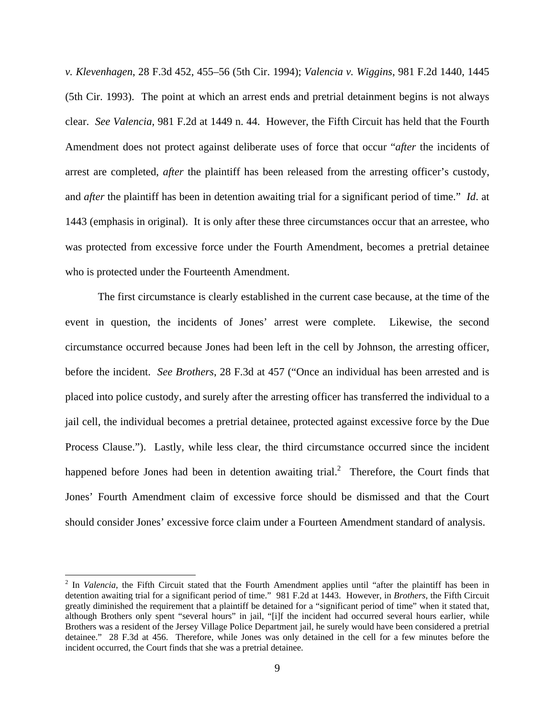*v. Klevenhagen*, 28 F.3d 452, 455–56 (5th Cir. 1994); *Valencia v. Wiggins*, 981 F.2d 1440, 1445 (5th Cir. 1993). The point at which an arrest ends and pretrial detainment begins is not always clear. *See Valencia*, 981 F.2d at 1449 n. 44. However, the Fifth Circuit has held that the Fourth Amendment does not protect against deliberate uses of force that occur "*after* the incidents of arrest are completed, *after* the plaintiff has been released from the arresting officer's custody, and *after* the plaintiff has been in detention awaiting trial for a significant period of time." *Id*. at 1443 (emphasis in original). It is only after these three circumstances occur that an arrestee, who was protected from excessive force under the Fourth Amendment, becomes a pretrial detainee who is protected under the Fourteenth Amendment.

 The first circumstance is clearly established in the current case because, at the time of the event in question, the incidents of Jones' arrest were complete. Likewise, the second circumstance occurred because Jones had been left in the cell by Johnson, the arresting officer, before the incident. *See Brothers*, 28 F.3d at 457 ("Once an individual has been arrested and is placed into police custody, and surely after the arresting officer has transferred the individual to a jail cell, the individual becomes a pretrial detainee, protected against excessive force by the Due Process Clause."). Lastly, while less clear, the third circumstance occurred since the incident happened before Jones had been in detention awaiting trial.<sup>2</sup> Therefore, the Court finds that Jones' Fourth Amendment claim of excessive force should be dismissed and that the Court should consider Jones' excessive force claim under a Fourteen Amendment standard of analysis.

į.

<sup>&</sup>lt;sup>2</sup> In *Valencia*, the Fifth Circuit stated that the Fourth Amendment applies until "after the plaintiff has been in detention awaiting trial for a significant period of time." 981 F.2d at 1443. However, in *Brothers*, the Fifth Circuit greatly diminished the requirement that a plaintiff be detained for a "significant period of time" when it stated that, although Brothers only spent "several hours" in jail, "[i]f the incident had occurred several hours earlier, while Brothers was a resident of the Jersey Village Police Department jail, he surely would have been considered a pretrial detainee." 28 F.3d at 456. Therefore, while Jones was only detained in the cell for a few minutes before the incident occurred, the Court finds that she was a pretrial detainee.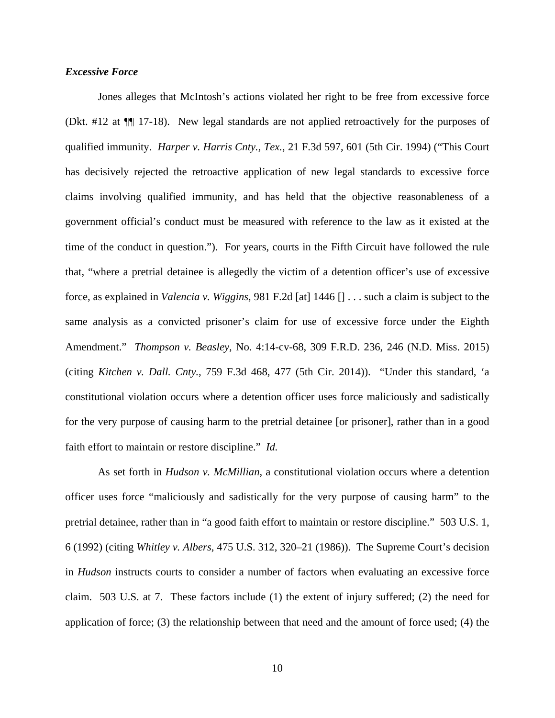### *Excessive Force*

Jones alleges that McIntosh's actions violated her right to be free from excessive force (Dkt. #12 at ¶¶ 17-18). New legal standards are not applied retroactively for the purposes of qualified immunity. *Harper v. Harris Cnty., Tex.*, 21 F.3d 597, 601 (5th Cir. 1994) ("This Court has decisively rejected the retroactive application of new legal standards to excessive force claims involving qualified immunity, and has held that the objective reasonableness of a government official's conduct must be measured with reference to the law as it existed at the time of the conduct in question."). For years, courts in the Fifth Circuit have followed the rule that, "where a pretrial detainee is allegedly the victim of a detention officer's use of excessive force, as explained in *Valencia v. Wiggins*, 981 F.2d [at] 1446 [] . . . such a claim is subject to the same analysis as a convicted prisoner's claim for use of excessive force under the Eighth Amendment." *Thompson v. Beasley*, No. 4:14-cv-68, 309 F.R.D. 236, 246 (N.D. Miss. 2015) (citing *Kitchen v. Dall. Cnty.*, 759 F.3d 468, 477 (5th Cir. 2014)). "Under this standard, 'a constitutional violation occurs where a detention officer uses force maliciously and sadistically for the very purpose of causing harm to the pretrial detainee [or prisoner], rather than in a good faith effort to maintain or restore discipline." *Id.*

As set forth in *Hudson v. McMillian*, a constitutional violation occurs where a detention officer uses force "maliciously and sadistically for the very purpose of causing harm" to the pretrial detainee, rather than in "a good faith effort to maintain or restore discipline." 503 U.S. 1, 6 (1992) (citing *Whitley v. Albers*, 475 U.S. 312, 320–21 (1986)). The Supreme Court's decision in *Hudson* instructs courts to consider a number of factors when evaluating an excessive force claim. 503 U.S. at 7. These factors include (1) the extent of injury suffered; (2) the need for application of force; (3) the relationship between that need and the amount of force used; (4) the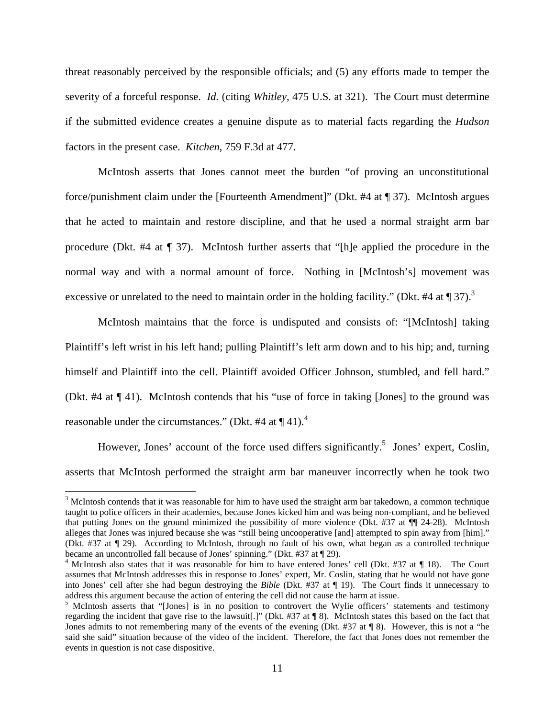threat reasonably perceived by the responsible officials; and (5) any efforts made to temper the severity of a forceful response. *Id.* (citing *Whitley*, 475 U.S. at 321). The Court must determine if the submitted evidence creates a genuine dispute as to material facts regarding the *Hudson*  factors in the present case. *Kitchen*, 759 F.3d at 477.

 McIntosh asserts that Jones cannot meet the burden "of proving an unconstitutional force/punishment claim under the [Fourteenth Amendment]" (Dkt. #4 at ¶ 37). McIntosh argues that he acted to maintain and restore discipline, and that he used a normal straight arm bar procedure (Dkt. #4 at ¶ 37). McIntosh further asserts that "[h]e applied the procedure in the normal way and with a normal amount of force. Nothing in [McIntosh's] movement was excessive or unrelated to the need to maintain order in the holding facility." (Dkt. #4 at  $\P$  37).<sup>3</sup>

McIntosh maintains that the force is undisputed and consists of: "[McIntosh] taking Plaintiff's left wrist in his left hand; pulling Plaintiff's left arm down and to his hip; and, turning himself and Plaintiff into the cell. Plaintiff avoided Officer Johnson, stumbled, and fell hard." (Dkt. #4 at ¶ 41). McIntosh contends that his "use of force in taking [Jones] to the ground was reasonable under the circumstances." (Dkt. #4 at  $\P$  41).<sup>4</sup>

However, Jones' account of the force used differs significantly.<sup>5</sup> Jones' expert, Coslin, asserts that McIntosh performed the straight arm bar maneuver incorrectly when he took two

 $\overline{\phantom{0}}$ 

 $3$  McIntosh contends that it was reasonable for him to have used the straight arm bar takedown, a common technique taught to police officers in their academies, because Jones kicked him and was being non-compliant, and he believed that putting Jones on the ground minimized the possibility of more violence (Dkt. #37 at ¶¶ 24-28). McIntosh alleges that Jones was injured because she was "still being uncooperative [and] attempted to spin away from [him]." (Dkt. #37 at ¶ 29). According to McIntosh, through no fault of his own, what began as a controlled technique became an uncontrolled fall because of Jones' spinning." (Dkt. #37 at ¶ 29).

<sup>&</sup>lt;sup>4</sup> McIntosh also states that it was reasonable for him to have entered Jones' cell (Dkt. #37 at  $\P$  18). The Court assumes that McIntosh addresses this in response to Jones' expert, Mr. Coslin, stating that he would not have gone into Jones' cell after she had begun destroying the *Bible* (Dkt. #37 at ¶ 19). The Court finds it unnecessary to address this argument because the action of entering the cell did not cause the harm at issue.

<sup>&</sup>lt;sup>5</sup> McIntosh asserts that "[Jones] is in no position to controvert the Wylie officers' statements and testimony regarding the incident that gave rise to the lawsuit[.]" (Dkt. #37 at ¶ 8). McIntosh states this based on the fact that Jones admits to not remembering many of the events of the evening (Dkt. #37 at ¶ 8). However, this is not a "he said she said" situation because of the video of the incident. Therefore, the fact that Jones does not remember the events in question is not case dispositive.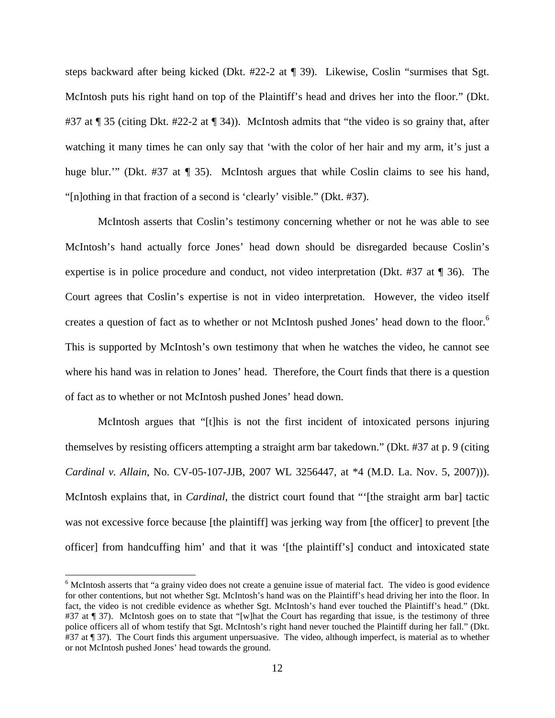steps backward after being kicked (Dkt. #22-2 at ¶ 39). Likewise, Coslin "surmises that Sgt. McIntosh puts his right hand on top of the Plaintiff's head and drives her into the floor." (Dkt. #37 at ¶ 35 (citing Dkt. #22-2 at ¶ 34)). McIntosh admits that "the video is so grainy that, after watching it many times he can only say that 'with the color of her hair and my arm, it's just a huge blur.'" (Dkt. #37 at ¶ 35). McIntosh argues that while Coslin claims to see his hand, "[n]othing in that fraction of a second is 'clearly' visible." (Dkt. #37).

McIntosh asserts that Coslin's testimony concerning whether or not he was able to see McIntosh's hand actually force Jones' head down should be disregarded because Coslin's expertise is in police procedure and conduct, not video interpretation (Dkt. #37 at ¶ 36). The Court agrees that Coslin's expertise is not in video interpretation. However, the video itself creates a question of fact as to whether or not McIntosh pushed Jones' head down to the floor.<sup>6</sup> This is supported by McIntosh's own testimony that when he watches the video, he cannot see where his hand was in relation to Jones' head. Therefore, the Court finds that there is a question of fact as to whether or not McIntosh pushed Jones' head down.

McIntosh argues that "[t]his is not the first incident of intoxicated persons injuring themselves by resisting officers attempting a straight arm bar takedown." (Dkt. #37 at p. 9 (citing *Cardinal v. Allain*, No. CV-05-107-JJB, 2007 WL 3256447, at \*4 (M.D. La. Nov. 5, 2007))). McIntosh explains that, in *Cardinal*, the district court found that "'[the straight arm bar] tactic was not excessive force because [the plaintiff] was jerking way from [the officer] to prevent [the officer] from handcuffing him' and that it was '[the plaintiff's] conduct and intoxicated state

 $\overline{a}$ 

<sup>&</sup>lt;sup>6</sup> McIntosh asserts that "a grainy video does not create a genuine issue of material fact. The video is good evidence for other contentions, but not whether Sgt. McIntosh's hand was on the Plaintiff's head driving her into the floor. In fact, the video is not credible evidence as whether Sgt. McIntosh's hand ever touched the Plaintiff's head." (Dkt. #37 at ¶ 37). McIntosh goes on to state that "[w]hat the Court has regarding that issue, is the testimony of three police officers all of whom testify that Sgt. McIntosh's right hand never touched the Plaintiff during her fall." (Dkt. #37 at ¶ 37). The Court finds this argument unpersuasive. The video, although imperfect, is material as to whether or not McIntosh pushed Jones' head towards the ground.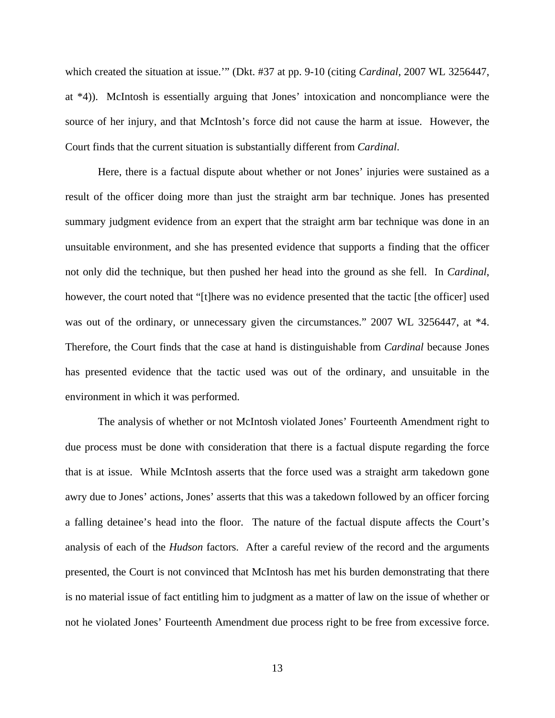which created the situation at issue.'" (Dkt. #37 at pp. 9-10 (citing *Cardinal*, 2007 WL 3256447, at \*4)). McIntosh is essentially arguing that Jones' intoxication and noncompliance were the source of her injury, and that McIntosh's force did not cause the harm at issue. However, the Court finds that the current situation is substantially different from *Cardinal*.

Here, there is a factual dispute about whether or not Jones' injuries were sustained as a result of the officer doing more than just the straight arm bar technique. Jones has presented summary judgment evidence from an expert that the straight arm bar technique was done in an unsuitable environment, and she has presented evidence that supports a finding that the officer not only did the technique, but then pushed her head into the ground as she fell. In *Cardinal*, however, the court noted that "[t]here was no evidence presented that the tactic [the officer] used was out of the ordinary, or unnecessary given the circumstances." 2007 WL 3256447, at  $*4$ . Therefore, the Court finds that the case at hand is distinguishable from *Cardinal* because Jones has presented evidence that the tactic used was out of the ordinary, and unsuitable in the environment in which it was performed.

The analysis of whether or not McIntosh violated Jones' Fourteenth Amendment right to due process must be done with consideration that there is a factual dispute regarding the force that is at issue. While McIntosh asserts that the force used was a straight arm takedown gone awry due to Jones' actions, Jones' asserts that this was a takedown followed by an officer forcing a falling detainee's head into the floor. The nature of the factual dispute affects the Court's analysis of each of the *Hudson* factors. After a careful review of the record and the arguments presented, the Court is not convinced that McIntosh has met his burden demonstrating that there is no material issue of fact entitling him to judgment as a matter of law on the issue of whether or not he violated Jones' Fourteenth Amendment due process right to be free from excessive force.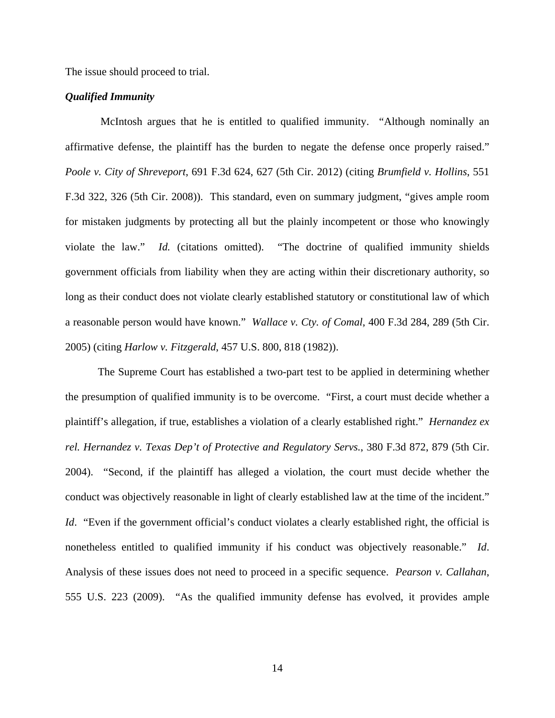The issue should proceed to trial.

### *Qualified Immunity*

 McIntosh argues that he is entitled to qualified immunity. "Although nominally an affirmative defense, the plaintiff has the burden to negate the defense once properly raised." *Poole v. City of Shreveport*, 691 F.3d 624, 627 (5th Cir. 2012) (citing *Brumfield v. Hollins*, 551 F.3d 322, 326 (5th Cir. 2008)). This standard, even on summary judgment, "gives ample room for mistaken judgments by protecting all but the plainly incompetent or those who knowingly violate the law." *Id.* (citations omitted). "The doctrine of qualified immunity shields government officials from liability when they are acting within their discretionary authority, so long as their conduct does not violate clearly established statutory or constitutional law of which a reasonable person would have known." *Wallace v. Cty. of Comal*, 400 F.3d 284, 289 (5th Cir. 2005) (citing *Harlow v. Fitzgerald*, 457 U.S. 800, 818 (1982)).

The Supreme Court has established a two-part test to be applied in determining whether the presumption of qualified immunity is to be overcome. "First, a court must decide whether a plaintiff's allegation, if true, establishes a violation of a clearly established right." *Hernandez ex rel. Hernandez v. Texas Dep't of Protective and Regulatory Servs.*, 380 F.3d 872, 879 (5th Cir. 2004). "Second, if the plaintiff has alleged a violation, the court must decide whether the conduct was objectively reasonable in light of clearly established law at the time of the incident." *Id.* "Even if the government official's conduct violates a clearly established right, the official is nonetheless entitled to qualified immunity if his conduct was objectively reasonable." *Id*. Analysis of these issues does not need to proceed in a specific sequence. *Pearson v. Callahan*, 555 U.S. 223 (2009). "As the qualified immunity defense has evolved, it provides ample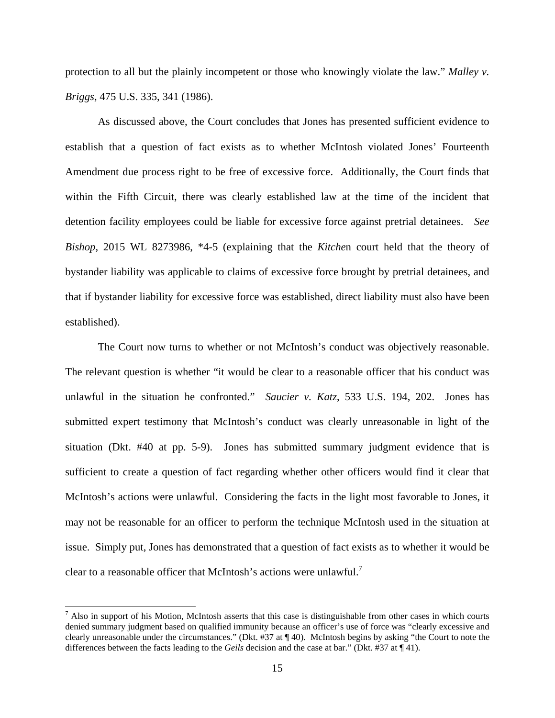protection to all but the plainly incompetent or those who knowingly violate the law." *Malley v. Briggs*, 475 U.S. 335, 341 (1986).

 As discussed above, the Court concludes that Jones has presented sufficient evidence to establish that a question of fact exists as to whether McIntosh violated Jones' Fourteenth Amendment due process right to be free of excessive force. Additionally, the Court finds that within the Fifth Circuit, there was clearly established law at the time of the incident that detention facility employees could be liable for excessive force against pretrial detainees. *See Bishop*, 2015 WL 8273986, \*4-5 (explaining that the *Kitche*n court held that the theory of bystander liability was applicable to claims of excessive force brought by pretrial detainees, and that if bystander liability for excessive force was established, direct liability must also have been established).

 The Court now turns to whether or not McIntosh's conduct was objectively reasonable. The relevant question is whether "it would be clear to a reasonable officer that his conduct was unlawful in the situation he confronted." *Saucier v. Katz*, 533 U.S. 194, 202. Jones has submitted expert testimony that McIntosh's conduct was clearly unreasonable in light of the situation (Dkt. #40 at pp. 5-9). Jones has submitted summary judgment evidence that is sufficient to create a question of fact regarding whether other officers would find it clear that McIntosh's actions were unlawful. Considering the facts in the light most favorable to Jones, it may not be reasonable for an officer to perform the technique McIntosh used in the situation at issue. Simply put, Jones has demonstrated that a question of fact exists as to whether it would be clear to a reasonable officer that McIntosh's actions were unlawful.<sup>7</sup>

į.

 $<sup>7</sup>$  Also in support of his Motion, McIntosh asserts that this case is distinguishable from other cases in which courts</sup> denied summary judgment based on qualified immunity because an officer's use of force was "clearly excessive and clearly unreasonable under the circumstances." (Dkt. #37 at ¶ 40). McIntosh begins by asking "the Court to note the differences between the facts leading to the *Geils* decision and the case at bar." (Dkt. #37 at ¶ 41).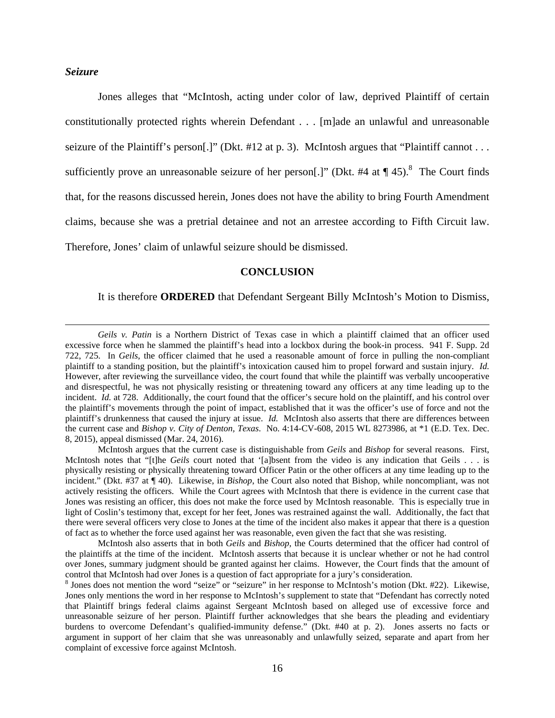### *Seizure*

 $\overline{a}$ 

 Jones alleges that "McIntosh, acting under color of law, deprived Plaintiff of certain constitutionally protected rights wherein Defendant . . . [m]ade an unlawful and unreasonable seizure of the Plaintiff's person[.]" (Dkt. #12 at p. 3). McIntosh argues that "Plaintiff cannot . . . sufficiently prove an unreasonable seizure of her person[.]" (Dkt. #4 at  $\P$  45).<sup>8</sup> The Court finds that, for the reasons discussed herein, Jones does not have the ability to bring Fourth Amendment claims, because she was a pretrial detainee and not an arrestee according to Fifth Circuit law. Therefore, Jones' claim of unlawful seizure should be dismissed.

#### **CONCLUSION**

It is therefore **ORDERED** that Defendant Sergeant Billy McIntosh's Motion to Dismiss,

*Geils v. Patin* is a Northern District of Texas case in which a plaintiff claimed that an officer used excessive force when he slammed the plaintiff's head into a lockbox during the book-in process. 941 F. Supp. 2d 722, 725. In *Geils*, the officer claimed that he used a reasonable amount of force in pulling the non-compliant plaintiff to a standing position, but the plaintiff's intoxication caused him to propel forward and sustain injury. *Id.* However, after reviewing the surveillance video, the court found that while the plaintiff was verbally uncooperative and disrespectful, he was not physically resisting or threatening toward any officers at any time leading up to the incident. *Id.* at 728. Additionally, the court found that the officer's secure hold on the plaintiff, and his control over the plaintiff's movements through the point of impact, established that it was the officer's use of force and not the plaintiff's drunkenness that caused the injury at issue. *Id.* McIntosh also asserts that there are differences between the current case and *Bishop v. City of Denton, Texas*. No. 4:14-CV-608, 2015 WL 8273986, at \*1 (E.D. Tex. Dec. 8, 2015), appeal dismissed (Mar. 24, 2016).

McIntosh argues that the current case is distinguishable from *Geils* and *Bishop* for several reasons. First, McIntosh notes that "[t]he *Geils* court noted that '[a]bsent from the video is any indication that Geils . . . is physically resisting or physically threatening toward Officer Patin or the other officers at any time leading up to the incident." (Dkt. #37 at ¶ 40). Likewise, in *Bishop*, the Court also noted that Bishop, while noncompliant, was not actively resisting the officers. While the Court agrees with McIntosh that there is evidence in the current case that Jones was resisting an officer, this does not make the force used by McIntosh reasonable. This is especially true in light of Coslin's testimony that, except for her feet, Jones was restrained against the wall. Additionally, the fact that there were several officers very close to Jones at the time of the incident also makes it appear that there is a question of fact as to whether the force used against her was reasonable, even given the fact that she was resisting.

McIntosh also asserts that in both *Geils* and *Bishop*, the Courts determined that the officer had control of the plaintiffs at the time of the incident. McIntosh asserts that because it is unclear whether or not he had control over Jones, summary judgment should be granted against her claims. However, the Court finds that the amount of control that McIntosh had over Jones is a question of fact appropriate for a jury's consideration.

<sup>&</sup>lt;sup>8</sup> Jones does not mention the word "seize" or "seizure" in her response to McIntosh's motion (Dkt. #22). Likewise, Jones only mentions the word in her response to McIntosh's supplement to state that "Defendant has correctly noted that Plaintiff brings federal claims against Sergeant McIntosh based on alleged use of excessive force and unreasonable seizure of her person. Plaintiff further acknowledges that she bears the pleading and evidentiary burdens to overcome Defendant's qualified-immunity defense." (Dkt. #40 at p. 2). Jones asserts no facts or argument in support of her claim that she was unreasonably and unlawfully seized, separate and apart from her complaint of excessive force against McIntosh.